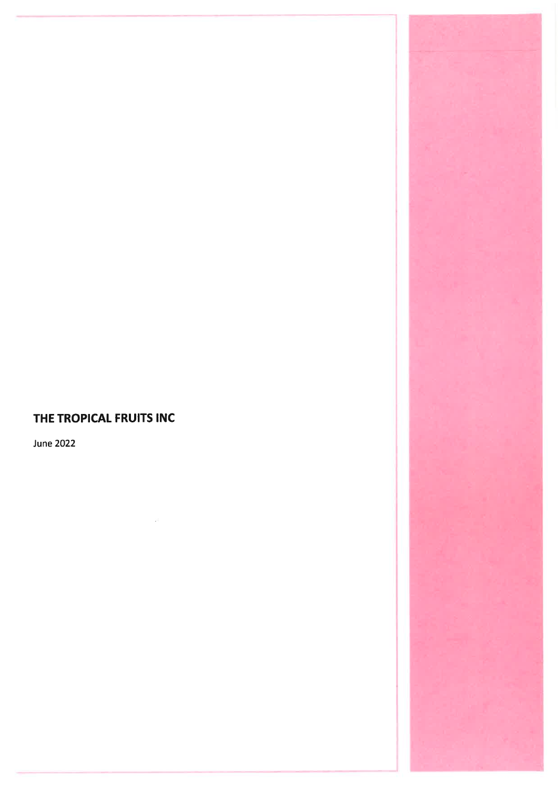# THE TROPICAL FRUITS INC

**June 2022** 

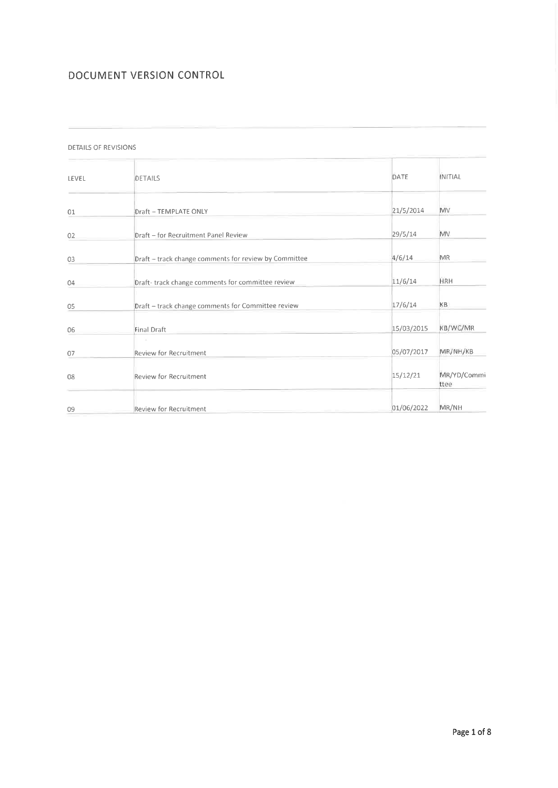## DOCUMENT VERSION CONTROL

#### DETAILS OF REVISIONS

| LEVEL | DETAILS                                               | DATE       | INITIAL             |
|-------|-------------------------------------------------------|------------|---------------------|
| 01    | <b>Draft - TEMPLATE ONLY</b>                          | 21/5/2014  | MV                  |
| 02    | Draft - for Recruitment Panel Review                  | 29/5/14    | <b>MV</b>           |
| 03    | Draft - track change comments for review by Committee | 4/6/14     | MR                  |
| 04    | Draft-track change comments for committee review      | 11/6/14    | <b>HRH</b>          |
| 05    | Draft - track change comments for Committee review    | 17/6/14    | KB                  |
| 06    | Final Draft                                           | 15/03/2015 | KB/WC/MR            |
| 07    | <b>Review for Recruitment</b>                         | 05/07/2017 | MR/NH/KB            |
| 08    | Review for Recruitment                                | 15/12/21   | MR/YD/Commi<br>ttee |
| 09    | Review for Recruitment                                | 01/06/2022 | MR/NH               |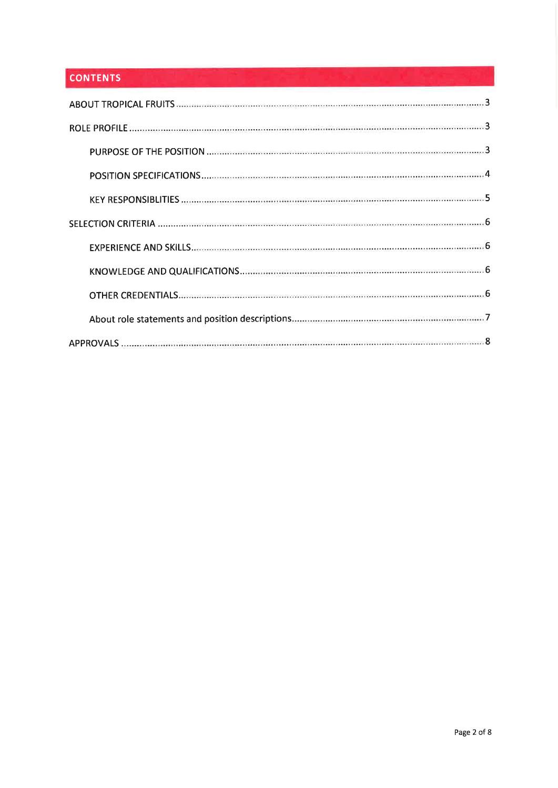## **CONTENTS**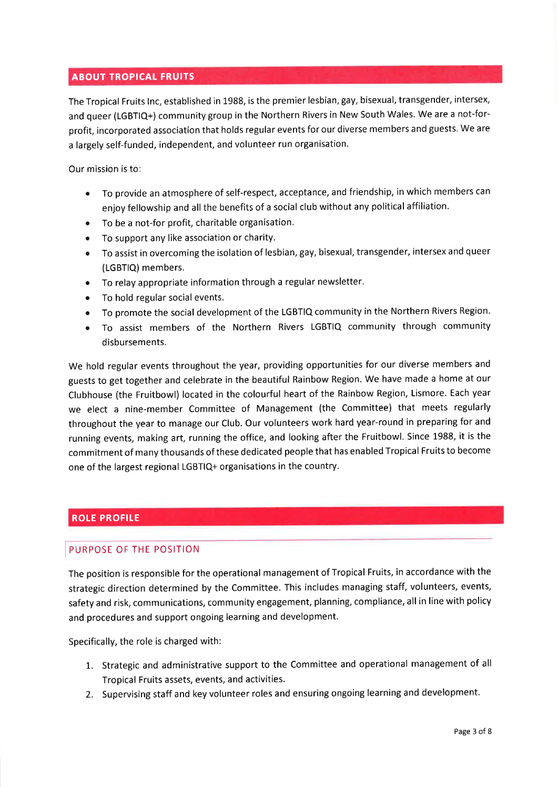### **ABOUT TROPICAL FRUITS**

The Tropical Fruits lnc, established in 1988, is the premier lesbian, gay, bisexual, transgender, intersex, and queer (LGBTIQ+) community group in the Northern Rivers in New South Wales. We are a not-forprofit, incorporated association that holds regular events for our diverse members and guests. We are a largely self-funded, independent, and volunteer run organisation.

Our mission is to

- o To provide an atmosphere of self-respect, acceptance, and friendship, in which members can enjoy fellowship and all the benefits of a social club without any political affiliation.
- o To be a not-for profit, charitable organisation.
- o To support any like association or charity.
- e To assist in overcoming the isolation of lesbian, gay, bisexual, transgender, intersex and queer (LGBTIQ) members.
- To relay appropriate information through a regular newsletter.
- To hold regular social events.
- e To promote the social development of the LGBTIQ community in the Northern Rivers Region.
- o To assist members of the Northern Rivers LGBTIQ community through community disbursements.

We hold regular events throughout the year, providing opportunities for our diverse members and guests to get together and celebrate in the beautiful Rainbow Region. We have made a home at our Clubhouse (the Fruitbowl) located in the colourful heart of the Rainbow Region, Lismore. Each year we elect a nine-member Committee of Management (the Committee) that meets regularly throughout the year to manage our Club. Our volunteers work hard year-round in preparing for and running events, making art, running the office, and looking after the Fruitbowl. Since 1988, it is the commitment of many thousands of these dedicated people that has enabled Tropical Fruits to become one of the largest regional LGBTIQ+ organisations in the country.

### **ROLE PROFILE**

#### PURPOSE OF THE POSITION

The position is responsible for the operational management of Tropical Fruits, in accordance with the strategic direction determined by the Committee. This includes managing staff, volunteers, events, safety and risk, communications, community engagement, planning, compliance, all in line with policy and procedures and support ongoing learning and development.

Specifically, the role is charged with:

- 1. Strategic and administrative support to the Committee and operational management of all Tropical Fruits assets, events, and activities.
- 2. Supervising staff and key volunteer roles and ensuring ongoing learning and development.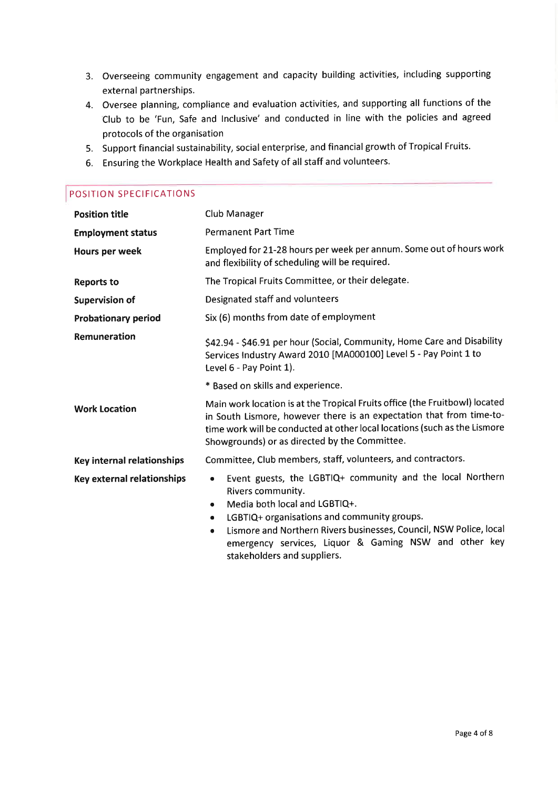- 3. Overseeing community engagement and capacity building activities, including supporting external partnerships.
- 4. Oversee planning, compliance and evaluation activities, and supporting all functions of the Club to be 'Fun, Safe and lnclusive' and conducted in line with the policies and agreed protocols of the organisation
- 5. Support financial sustainability, social enterprise, and financial growth of Tropical Fruits.
- 6. Ensuring the Workplace Health and Safety of all staff and volunteers.

## POSITION SPECIFICATIONS

| <b>Position title</b>             | <b>Club Manager</b>                                                                                                                                                                                                                                                                                                                                                       |  |  |
|-----------------------------------|---------------------------------------------------------------------------------------------------------------------------------------------------------------------------------------------------------------------------------------------------------------------------------------------------------------------------------------------------------------------------|--|--|
| <b>Employment status</b>          | <b>Permanent Part Time</b>                                                                                                                                                                                                                                                                                                                                                |  |  |
| Hours per week                    | Employed for 21-28 hours per week per annum. Some out of hours work<br>and flexibility of scheduling will be required.                                                                                                                                                                                                                                                    |  |  |
| <b>Reports to</b>                 | The Tropical Fruits Committee, or their delegate.                                                                                                                                                                                                                                                                                                                         |  |  |
| <b>Supervision of</b>             | Designated staff and volunteers                                                                                                                                                                                                                                                                                                                                           |  |  |
| <b>Probationary period</b>        | Six (6) months from date of employment                                                                                                                                                                                                                                                                                                                                    |  |  |
| Remuneration                      | \$42.94 - \$46.91 per hour (Social, Community, Home Care and Disability<br>Services Industry Award 2010 [MA000100] Level 5 - Pay Point 1 to<br>Level 6 - Pay Point 1).                                                                                                                                                                                                    |  |  |
|                                   | * Based on skills and experience.                                                                                                                                                                                                                                                                                                                                         |  |  |
| <b>Work Location</b>              | Main work location is at the Tropical Fruits office (the Fruitbowl) located<br>in South Lismore, however there is an expectation that from time-to-<br>time work will be conducted at other local locations (such as the Lismore<br>Showgrounds) or as directed by the Committee.                                                                                         |  |  |
| Key internal relationships        | Committee, Club members, staff, volunteers, and contractors.                                                                                                                                                                                                                                                                                                              |  |  |
| <b>Key external relationships</b> | Event guests, the LGBTIQ+ community and the local Northern<br>$\bullet$<br>Rivers community.<br>Media both local and LGBTIQ+.<br>٠<br>LGBTIQ+ organisations and community groups.<br>$\bullet$<br>Lismore and Northern Rivers businesses, Council, NSW Police, local<br>$\bullet$<br>emergency services, Liquor & Gaming NSW and other key<br>stakeholders and suppliers. |  |  |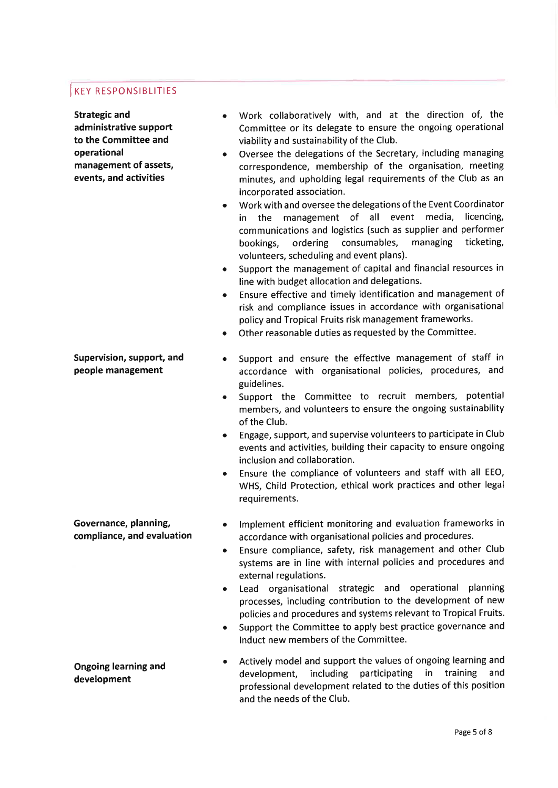## **KEY RESPONSIBLITIES**

Strategic and administrative support to the Committee and operational management of assets, events, and activities

#### Supervision, support, and people management

- a Work collaboratively with, and at the direction of, the Committee or its delegate to ensure the ongoing operational viability and sustainability of the Club.
- a Oversee the delegations of the Secretary, including managing correspondence, membership of the organisation, meeting minutes, and upholding legal requirements of the Club as an incorporated association.
- a Work with and oversee the delegations of the Event Coordinator the management of all event media, licencing, communications and logistics (such as supplier and performer bookings, ordering consumables, managing ticketing, volunteers, scheduling and event plans).
- Support the management of capital and financial resources in line with budget allocation and delegations. a
- Ensure effective and timely identification and management of risk and compliance issues in accordance with organisational policy and Tropical Fruits risk management frameworks. a
- Other reasonable duties as requested by the Committee. a
- Support and ensure the effective management of staff in accordance with organisational policies, procedures, and guidelines. a
- a Support the Committee to recruit members, potential members, and volunteers to ensure the ongoing sustainability of the Club.
- a Engage, support, and supervise volunteers to participate in Club events and activities, building their capacity to ensure ongoing inclusion and collaboration.
- a Ensure the compliance of volunteers and staff with all EEO, WHS, Child Protection, ethical work practices and other legal requirements.
- lmplement efficient monitoring and evaluation frameworks in accordance with organisational policies and procedures. a
- Ensure compliance, safety, risk management and other Club systems are in line with internal policies and procedures and external regulations. a
- a Lead organisational strategic and operational planning processes, including contribution to the development of new policies and procedures and systems relevant to Tropical Fruits.
- a Support the Committee to apply best practice governance and induct new members of the Committee.

#### Ongoing learning and development

Governance, planning, compliance, and evaluation

> a Actively model and support the values of ongoing learning and development, including participating in training and professional development related to the duties of this position and the needs of the Club.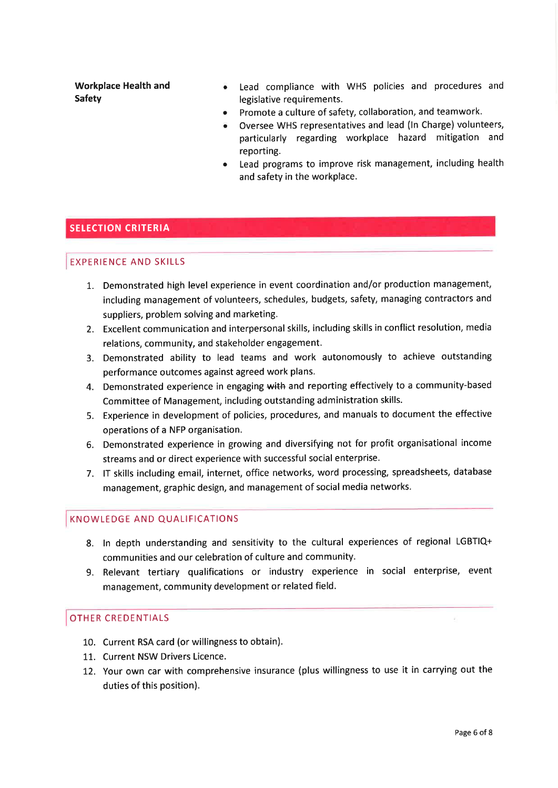Workplace Health and Safety

- Lead compliance with WHS policies and procedures and legislative requirements.
- Promote a culture of safety, collaboration, and teamwork. a
- Oversee WHS representatives and lead (ln Charge) volunteers, particularly regarding workplace hazard mitigation and reporting.
- Lead programs to improve risk management, including health and safety in the workplace. a

#### **SELECTION CRITERIA**

#### EXPERIENCE AND SKILLS

- 1. Demonstrated high level experience in event coordination and/or production management, including management of volunteers, schedules, budgets, safety, managing contractors and suppliers, problem solving and marketing.
- 2. Excellent communication and interpersonal skills, including skills in conflict resolution, media relations, community, and stakeholder engagement.
- 3. Demonstrated ability to lead teams and work autonomously to achieve outstanding performance outcomes against agreed work plans.
- 4. Demonstrated experience in engaging with and reporting effectively to a community-based Committee of Management, including outstanding administration skills.
- 5. Experience in development of policies, procedures, and manuals to document the effective operations of a NFP organisation.
- 6. Demonstrated experience in growing and diversifying not for profit organisational income streams and or direct experience with successful social enterprise.
- 7. lT skills including email, internet, office networks, word processing, spreadsheets, database management, graphic design, and management of social media networks.

#### KNOWLEDGE AND QUALIFICATIONS

- 8. ln depth understanding and sensitivity to the cultural experiences of regional LGBTIQ+ communities and our celebration of culture and community.
- 9. Relevant tertiary qualifications or industry experience in social enterprise, event management, community development or related field.

#### OTHER CREDENTIALS

- 10. Current RSA card (or willingness to obtain).
- 11. Current NSW Drivers Licence.
- 12. Your own car with comprehensive insurance (plus willingness to use it in carrying out the duties of this position).

V.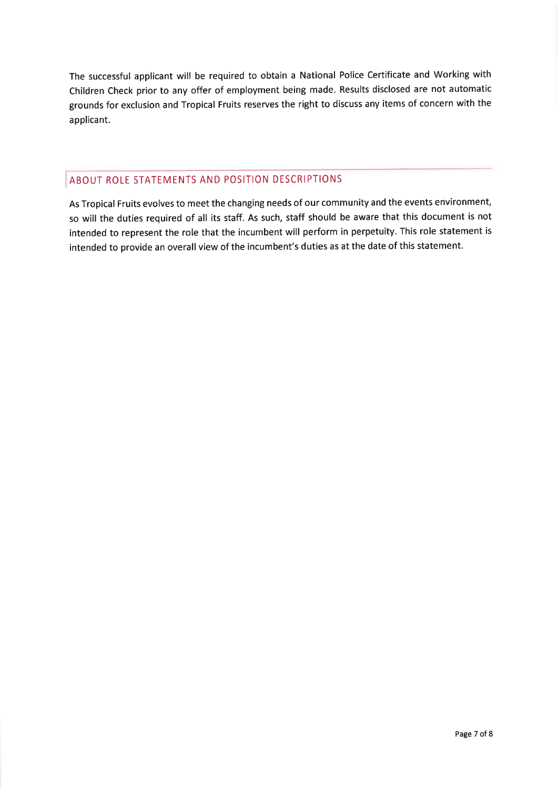The successful applicant will be required to obtain a National Police Certificate and Working with Children Check prior to any offer of employment being made. Results disclosed are not automatic grounds for exclusion and Tropical Fruits reserves the right to discuss any items of concern with the applicant.

### ABOUT ROLE STATEMENTS AND POSITION DESCRIPTIONS

As Tropical Fruits evolves to meet the changing needs of our community and the events environment, so will the duties required of all its staff. As such, staff should be aware that this document is not intended to represent the role that the incumbent will perform in perpetuity. This role statement is intended to provide an overall view of the incumbent's duties as at the date of this statement.